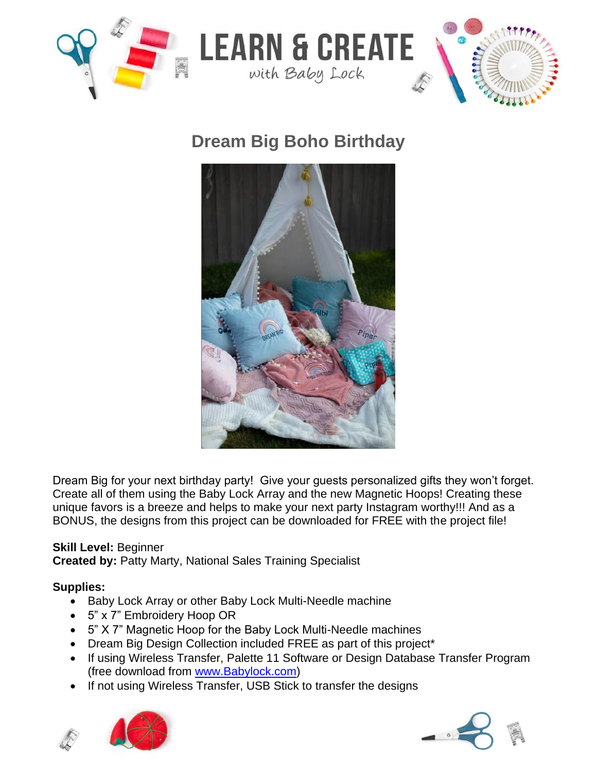

# **Dream Big Boho Birthday**



Dream Big for your next birthday party! Give your guests personalized gifts they won't forget. Create all of them using the Baby Lock Array and the new Magnetic Hoops! Creating these unique favors is a breeze and helps to make your next party Instagram worthy!!! And as a BONUS, the designs from this project can be downloaded for FREE with the project file!

### **Skill Level:** Beginner

**Created by:** Patty Marty, National Sales Training Specialist

## **Supplies:**

- Baby Lock Array or other Baby Lock Multi-Needle machine
- 5" x 7" Embroidery Hoop OR
- 5" X 7" Magnetic Hoop for the Baby Lock Multi-Needle machines
- Dream Big Design Collection included FREE as part of this project\*
- If using Wireless Transfer, Palette 11 Software or Design Database Transfer Program (free download from [www.Babylock.com\)](http://www.babylock.com/)
- If not using Wireless Transfer, USB Stick to transfer the designs



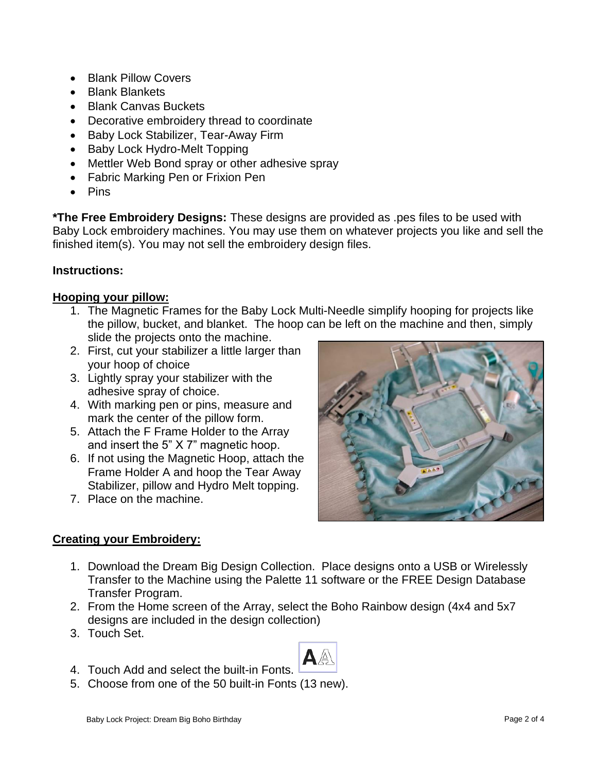- Blank Pillow Covers
- Blank Blankets
- Blank Canvas Buckets
- Decorative embroidery thread to coordinate
- Baby Lock Stabilizer, Tear-Away Firm
- Baby Lock Hydro-Melt Topping
- Mettler Web Bond spray or other adhesive spray
- Fabric Marking Pen or Frixion Pen
- Pins

**\*The Free Embroidery Designs:** These designs are provided as .pes files to be used with Baby Lock embroidery machines. You may use them on whatever projects you like and sell the finished item(s). You may not sell the embroidery design files.

#### **Instructions:**

#### **Hooping your pillow:**

- 1. The Magnetic Frames for the Baby Lock Multi-Needle simplify hooping for projects like the pillow, bucket, and blanket. The hoop can be left on the machine and then, simply slide the projects onto the machine.
- 2. First, cut your stabilizer a little larger than your hoop of choice
- 3. Lightly spray your stabilizer with the adhesive spray of choice.
- 4. With marking pen or pins, measure and mark the center of the pillow form.
- 5. Attach the F Frame Holder to the Array and insert the 5" X 7" magnetic hoop.
- 6. If not using the Magnetic Hoop, attach the Frame Holder A and hoop the Tear Away Stabilizer, pillow and Hydro Melt topping.
- 7. Place on the machine.



#### **Creating your Embroidery:**

- 1. Download the Dream Big Design Collection. Place designs onto a USB or Wirelessly Transfer to the Machine using the Palette 11 software or the FREE Design Database Transfer Program.
- 2. From the Home screen of the Array, select the Boho Rainbow design (4x4 and 5x7 designs are included in the design collection)
- 3. Touch Set.



5. Choose from one of the 50 built-in Fonts (13 new).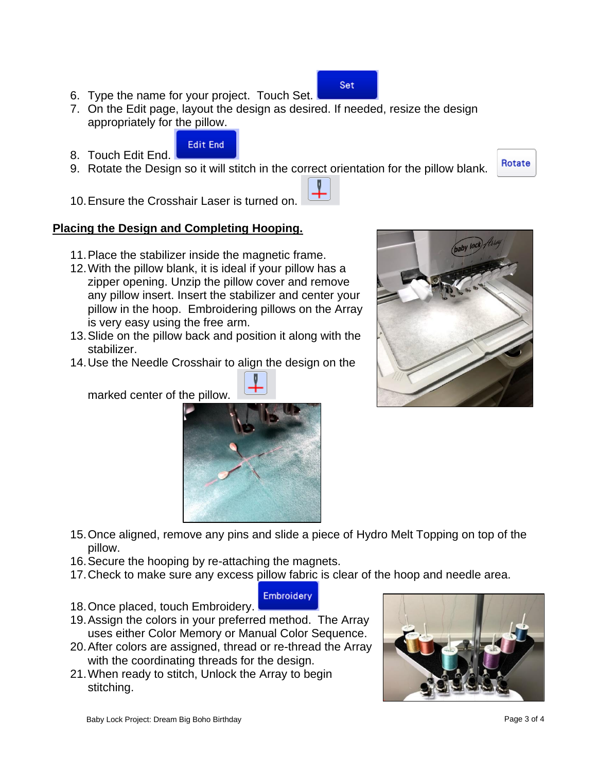- 6. Type the name for your project. Touch Set.
- 7. On the Edit page, layout the design as desired. If needed, resize the design appropriately for the pillow.
- Edit End 8. Touch Edit End.
- 9. Rotate the Design so it will stitch in the correct orientation for the pillow blank.
- 10.Ensure the Crosshair Laser is turned on.

#### **Placing the Design and Completing Hooping.**

- 11.Place the stabilizer inside the magnetic frame.
- 12.With the pillow blank, it is ideal if your pillow has a zipper opening. Unzip the pillow cover and remove any pillow insert. Insert the stabilizer and center your pillow in the hoop. Embroidering pillows on the Array is very easy using the free arm.
- 13.Slide on the pillow back and position it along with the stabilizer.
- 14.Use the Needle Crosshair to align the design on the

marked center of the pillow.

- 15.Once aligned, remove any pins and slide a piece of Hydro Melt Topping on top of the pillow.
- 16.Secure the hooping by re-attaching the magnets.
- 17.Check to make sure any excess pillow fabric is clear of the hoop and needle area.
- **Embroidery** 18.Once placed, touch Embroidery.
- 19.Assign the colors in your preferred method. The Array uses either Color Memory or Manual Color Sequence.
- 20.After colors are assigned, thread or re-thread the Array with the coordinating threads for the design.
- 21.When ready to stitch, Unlock the Array to begin stitching.







Rotate

**Set**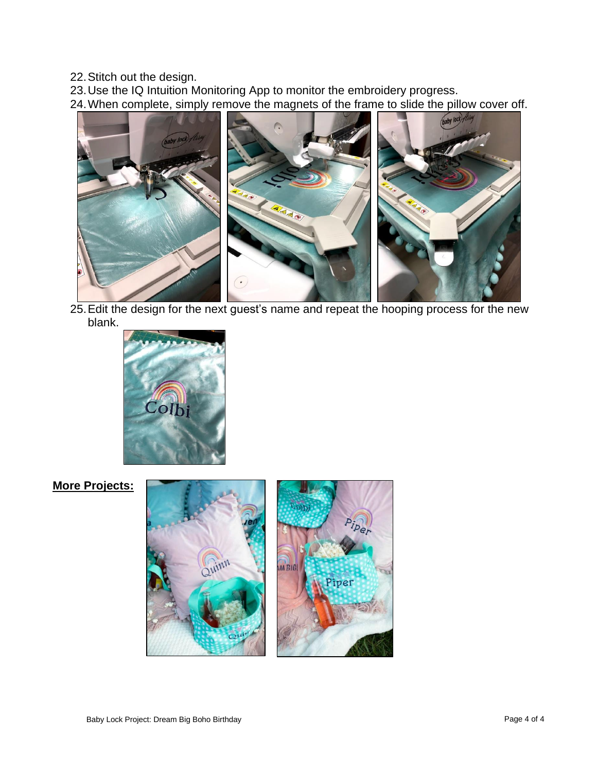22.Stitch out the design.

23.Use the IQ Intuition Monitoring App to monitor the embroidery progress.

24.When complete, simply remove the magnets of the frame to slide the pillow cover off.



25.Edit the design for the next guest's name and repeat the hooping process for the new blank.



**More Projects:**

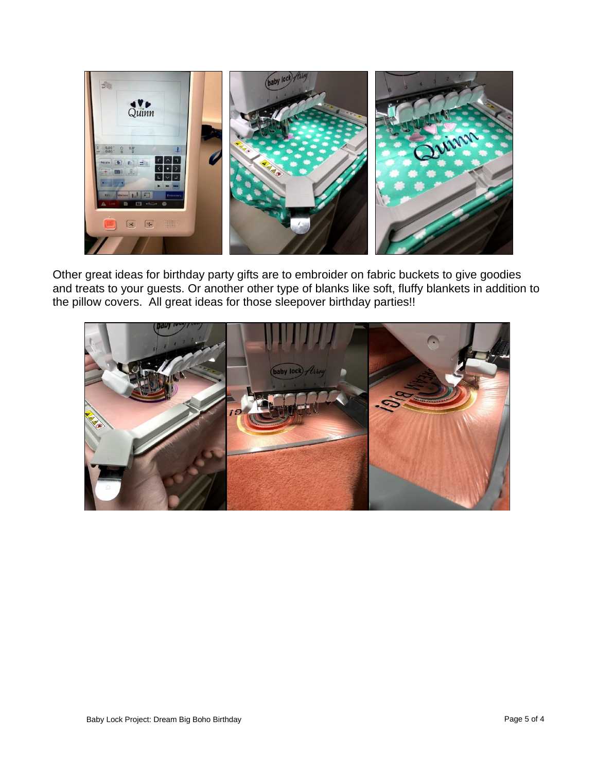

Other great ideas for birthday party gifts are to embroider on fabric buckets to give goodies and treats to your guests. Or another other type of blanks like soft, fluffy blankets in addition to the pillow covers. All great ideas for those sleepover birthday parties!!